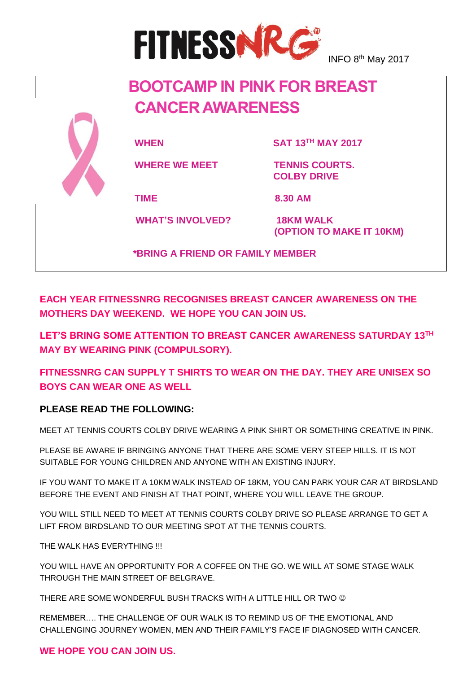

INFO 8<sup>th</sup> May 2017

# **BOOTCAMP IN PINK FOR BREAST CANCER AWARENESS**



**WHAT'S INVOLVED?** 18KM WALK

**WHEN SAT 13TH MAY 2017**

WHERE WE MEET **TENNIS COURTS. COLBY DRIVE**

**TIME 8.30 AM**

 **(OPTION TO MAKE IT 10KM)** 

 **\*BRING A FRIEND OR FAMILY MEMBER**

**EACH YEAR FITNESSNRG RECOGNISES BREAST CANCER AWARENESS ON THE MOTHERS DAY WEEKEND. WE HOPE YOU CAN JOIN US.**

**LET'S BRING SOME ATTENTION TO BREAST CANCER AWARENESS SATURDAY 13TH MAY BY WEARING PINK (COMPULSORY).** 

**FITNESSNRG CAN SUPPLY T SHIRTS TO WEAR ON THE DAY. THEY ARE UNISEX SO BOYS CAN WEAR ONE AS WELL**

### **PLEASE READ THE FOLLOWING:**

MEET AT TENNIS COURTS COLBY DRIVE WEARING A PINK SHIRT OR SOMETHING CREATIVE IN PINK.

PLEASE BE AWARE IF BRINGING ANYONE THAT THERE ARE SOME VERY STEEP HILLS. IT IS NOT SUITABLE FOR YOUNG CHILDREN AND ANYONE WITH AN EXISTING INJURY.

IF YOU WANT TO MAKE IT A 10KM WALK INSTEAD OF 18KM, YOU CAN PARK YOUR CAR AT BIRDSLAND BEFORE THE EVENT AND FINISH AT THAT POINT, WHERE YOU WILL LEAVE THE GROUP.

YOU WILL STILL NEED TO MEET AT TENNIS COURTS COLBY DRIVE SO PLEASE ARRANGE TO GET A LIFT FROM BIRDSLAND TO OUR MEETING SPOT AT THE TENNIS COURTS.

THE WAI K HAS EVERYTHING !!!

YOU WILL HAVE AN OPPORTUNITY FOR A COFFEE ON THE GO. WE WILL AT SOME STAGE WALK THROUGH THE MAIN STREET OF BELGRAVE.

THERE ARE SOME WONDERFUL BUSH TRACKS WITH A LITTLE HILL OR TWO  $\odot$ 

REMEMBER…. THE CHALLENGE OF OUR WALK IS TO REMIND US OF THE EMOTIONAL AND CHALLENGING JOURNEY WOMEN, MEN AND THEIR FAMILY'S FACE IF DIAGNOSED WITH CANCER.

### **WE HOPE YOU CAN JOIN US.**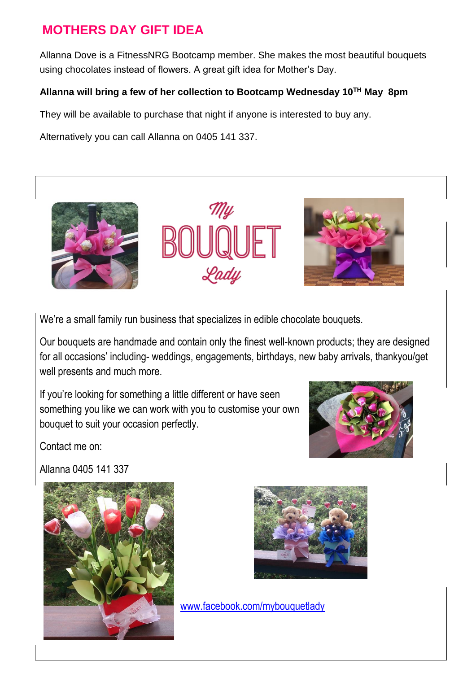### **MOTHERS DAY GIFT IDEA**

Allanna Dove is a FitnessNRG Bootcamp member. She makes the most beautiful bouquets using chocolates instead of flowers. A great gift idea for Mother's Day.

### **Allanna will bring a few of her collection to Bootcamp Wednesday 10TH May 8pm**

They will be available to purchase that night if anyone is interested to buy any.

Alternatively you can call Allanna on 0405 141 337.



We're a small family run business that specializes in edible chocolate bouquets.

Our bouquets are handmade and contain only the finest well-known products; they are designed for all occasions' including- weddings, engagements, birthdays, new baby arrivals, thankyou/get well presents and much more.

If you're looking for something a little different or have seen something you like we can work with you to customise your own bouquet to suit your occasion perfectly.



Contact me on:

Allanna 0405 141 337





[www.facebook.com/mybouquetlady](http://www.facebook.com/mybouquetlady)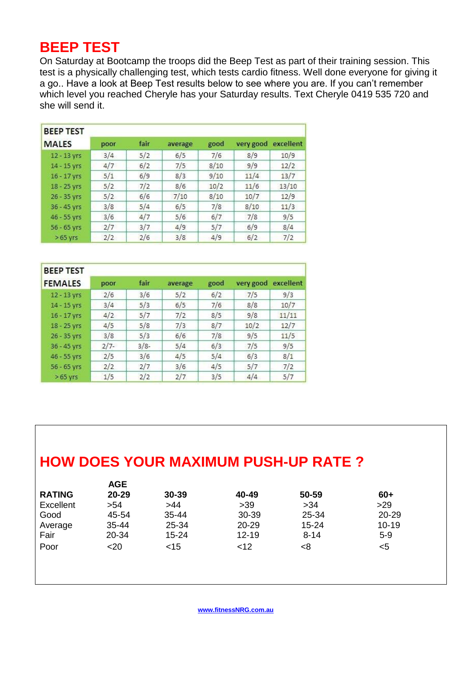## **BEEP TEST**

On Saturday at Bootcamp the troops did the Beep Test as part of their training session. This test is a physically challenging test, which tests cardio fitness. Well done everyone for giving it a go.. Have a look at Beep Test results below to see where you are. If you can't remember which level you reached Cheryle has your Saturday results. Text Cheryle 0419 535 720 and she will send it.

| <b>BEEP TEST</b> |      |      |         |      |           |           |
|------------------|------|------|---------|------|-----------|-----------|
| <b>MALES</b>     | poor | fair | average | good | very good | excellent |
| 12 - 13 yrs      | 3/4  | 5/2  | 6/5     | 7/6  | 8/9       | 10/9      |
| 14 - 15 yrs      | 4/7  | 6/2  | 7/5     | 8/10 | 9/9       | 12/2      |
| 16 - 17 yrs      | 5/1  | 6/9  | 8/3     | 9/10 | 11/4      | 13/7      |
| 18 - 25 yrs      | 5/2  | 7/2  | 8/6     | 10/2 | 11/6      | 13/10     |
| 26 - 35 yrs      | 5/2  | 6/6  | 7/10    | 8/10 | 10/7      | 12/9      |
| 36 - 45 yrs      | 3/8  | 5/4  | 6/5     | 7/8  | 8/10      | 11/3      |
| 46 - 55 yrs      | 3/6  | 4/7  | 5/6     | 6/7  | 7/8       | 9/5       |
| $56 - 65$ yrs    | 2/7  | 3/7  | 4/9     | 5/7  | 6/9       | 8/4       |
| $>65$ yrs        | 2/2  | 2/6  | 3/8     | 4/9  | 6/2       | 7/2       |

| <b>BEEP TEST</b> |        |         |         |      |           |           |
|------------------|--------|---------|---------|------|-----------|-----------|
| <b>FEMALES</b>   | poor   | fair    | average | good | very good | excellent |
| 12 - 13 yrs      | 2/6    | 3/6     | 5/2     | 6/2  | 7/5       | 9/3       |
| 14 - 15 yrs      | 3/4    | 5/3     | 6/5     | 7/6  | 8/8       | 10/7      |
| $16 - 17$ yrs    | 4/2    | 5/7     | 7/2     | 8/5  | 9/8       | 11/11     |
| 18 - 25 yrs      | 4/5    | 5/8     | 7/3     | 8/7  | 10/2      | 12/7      |
| 26 - 35 yrs      | 3/8    | 5/3     | 6/6     | 7/8  | 9/5       | 11/5      |
| 36 - 45 yrs      | $2/7-$ | $3/8 -$ | 5/4     | 6/3  | 7/5       | 9/5       |
| 46 - 55 yrs      | 2/5    | 3/6     | 4/5     | 5/4  | 6/3       | 8/1       |
| $56 - 65$ yrs    | 2/2    | 2/7     | 3/6     | 4/5  | 5/7       | 7/2       |
| $>65$ yrs        | 1/5    | 2/2     | 2/7     | 3/5  | 4/4       | 5/7       |

# **HOW DOES YOUR MAXIMUM PUSH-UP RATE ?**

|               | <b>AGE</b> |           |           |           |           |  |
|---------------|------------|-----------|-----------|-----------|-----------|--|
| <b>RATING</b> | 20-29      | 30-39     | 40-49     | 50-59     | 60+       |  |
| Excellent     | >54        | >44       | $>39$     | >34       | $>29$     |  |
| Good          | 45-54      | 35-44     | 30-39     | 25-34     | 20-29     |  |
| Average       | 35-44      | 25-34     | 20-29     | $15 - 24$ | $10 - 19$ |  |
| Fair          | 20-34      | $15 - 24$ | $12 - 19$ | $8 - 14$  | $5-9$     |  |
| Poor          | $20$       | $<$ 15    | $<$ 12    | < 8       | <5        |  |
|               |            |           |           |           |           |  |
|               |            |           |           |           |           |  |
|               |            |           |           |           |           |  |

 **[www.fitnessNRG.com.au](http://www.fitnessnrg.com.au/)**